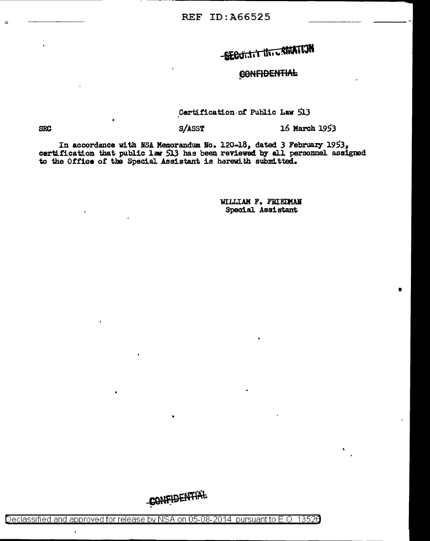SECURITY INTERNATION

## **CONFIDENTIAL**

Certification of Public Law 513

16 March 1953

S/ASST

**SEC** 

In accordance with NSA Memorandum No. 120-18, dated 3 February 1953, certification that public law 513 has been reviewed by all personnel assigned to the Office of the Special Assistant is herewith submitted.

> WILLIAM F. FRIEDMAN Special Assistant

CONFIDENTIAL

Declassified and approved for release by NSA on 05-08-2014 pursuant to E.O. 13526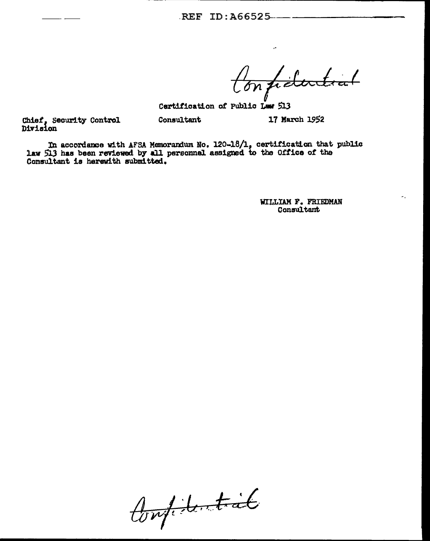REF ID: A66525........

Confidential

17 March 1952

Certification of Public Law 513

Chief, Security Control<br>Division

In accordance with AFSA Memorandum No. 120-18/1, certification that public law 513 has been reviewed by all personnel assigned to the Office of the Consultant is herewith submitted.

Consultant

WILLIAM F. FRIEDMAN Consultant

Confidential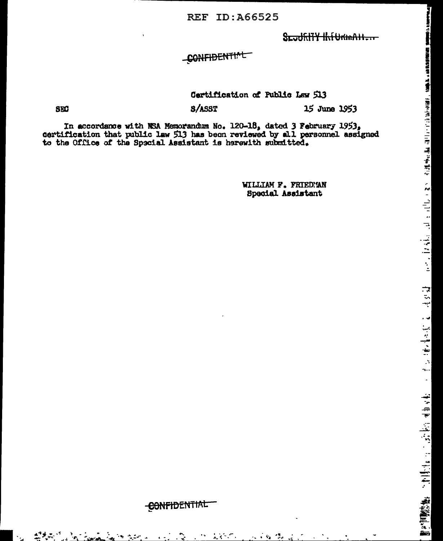**REF ID: A66525** 

SLUDRITY INTURIALIZAT

CONFIDENTIAL

Certification of Public Law 513

SEC

S/ASST

15 June 1953

սությունը համար առաջարկային առաջարկությունը կարող է է էլ լի թվական առաջարկության համար առաջարկությունը առաջարկ

一本 かけい あいまいれん

散子<sup>阿</sup>照悟像。 これ手で <sub>エンジン</sub> トゥ オルマモ

In accordance with NSA Memorandum No. 120-18, dated 3 February 1953, certification that public law 513 has been reviewed by all personnel assigned to the Office of the Special Assistant is herewith submitted.

> WILLIAM F. FRIEDNAN Special Assistant

# CONFIDENTIAL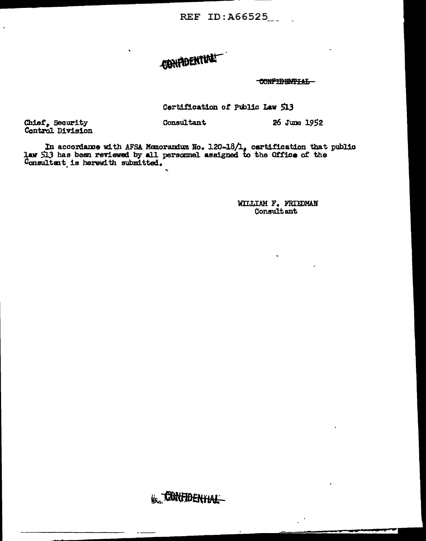**REF ID:A66525** 

# CONFIDENTIAL

CONFIDENTIAL

26 June 1952

Certification of Public Law 513

Chief, Security<br>Control Division

In accordance with AFSA Memorandum No. 120-18/1, certification that public<br>law 513 has been reviewed by all personnel assigned to the Office of the<br>Consultant is herewith submitted.

Consultant

WILLIAM F. FRIEDMAN Consultant

KR. CONFIDENTIAL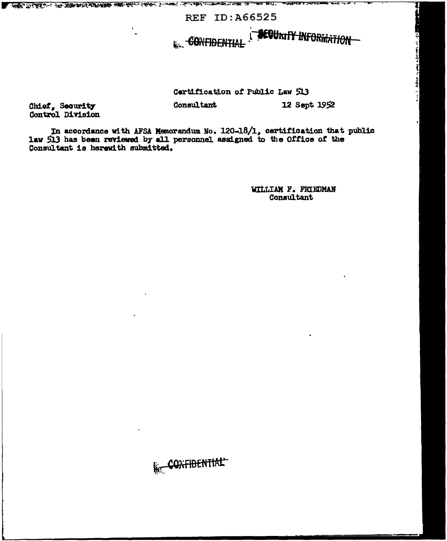**REF ID: A66525** 

**GONFIDENTIAL** 

**ARA ARTICLE IN THE STATE OF THE COMMUNICATION CONTRACTOR CONTRACTOR COMMUNICATION COMMUNICATION** 

Certification of Public Law 513

Chief, Security<br>Control Division

In accordance with AFSA Memorandum No. 120-18/1, certification that public<br>law 513 has been reviewed by all personnel assigned to the Office of the Consultant is herewith submitted.

Consultant

WILLIAM F. FRIEDMAN Consultant

**BEGUNITY INFORMATION** 

12 Sept 1952

والزياعة متعاديات يحويان منقطا الباريا